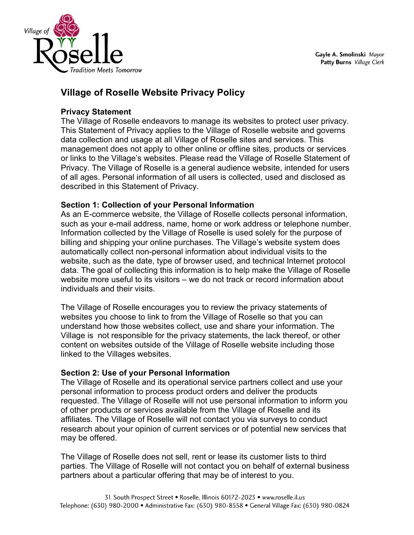

# **Village of Roselle Website Privacy Policy**

## **Privacy Statement**

The Village of Roselle endeavors to manage its websites to protect user privacy. This Statement of Privacy applies to the Village of Roselle website and governs data collection and usage at all Village of Roselle sites and services. This management does not apply to other online or offline sites, products or services or links to the Village's websites. Please read the Village of Roselle Statement of Privacy. The Village of Roselle is a general audience website, intended for users of all ages. Personal information of all users is collected, used and disclosed as described in this Statement of Privacy.

# **Section 1: Collection of your Personal Information**

As an E-commerce website, the Village of Roselle collects personal information, such as your e-mail address, name, home or work address or telephone number. Information collected by the Village of Roselle is used solely for the purpose of billing and shipping your online purchases. The Village's website system does automatically collect non-personal information about individual visits to the website, such as the date, type of browser used, and technical Internet protocol data. The goal of collecting this information is to help make the Village of Roselle website more useful to its visitors – we do not track or record information about individuals and their visits.

The Village of Roselle encourages you to review the privacy statements of websites you choose to link to from the Village of Roselle so that you can understand how those websites collect, use and share your information. The Village is not responsible for the privacy statements, the lack thereof, or other content on websites outside of the Village of Roselle website including those linked to the Villages websites.

# **Section 2: Use of your Personal Information**

The Village of Roselle and its operational service partners collect and use your personal information to process product orders and deliver the products requested. The Village of Roselle will not use personal information to inform you of other products or services available from the Village of Roselle and its affiliates. The Village of Roselle will not contact you via surveys to conduct research about your opinion of current services or of potential new services that may be offered.

The Village of Roselle does not sell, rent or lease its customer lists to third parties. The Village of Roselle will not contact you on behalf of external business partners about a particular offering that may be of interest to you.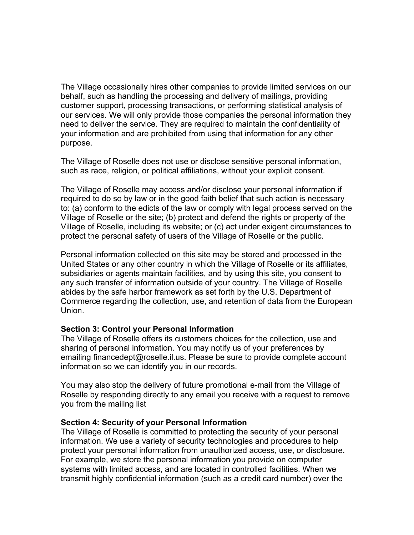The Village occasionally hires other companies to provide limited services on our behalf, such as handling the processing and delivery of mailings, providing customer support, processing transactions, or performing statistical analysis of our services. We will only provide those companies the personal information they need to deliver the service. They are required to maintain the confidentiality of your information and are prohibited from using that information for any other purpose.

The Village of Roselle does not use or disclose sensitive personal information, such as race, religion, or political affiliations, without your explicit consent.

The Village of Roselle may access and/or disclose your personal information if required to do so by law or in the good faith belief that such action is necessary to: (a) conform to the edicts of the law or comply with legal process served on the Village of Roselle or the site; (b) protect and defend the rights or property of the Village of Roselle, including its website; or (c) act under exigent circumstances to protect the personal safety of users of the Village of Roselle or the public.

Personal information collected on this site may be stored and processed in the United States or any other country in which the Village of Roselle or its affiliates, subsidiaries or agents maintain facilities, and by using this site, you consent to any such transfer of information outside of your country. The Village of Roselle abides by the safe harbor framework as set forth by the U.S. Department of Commerce regarding the collection, use, and retention of data from the European Union.

### **Section 3: Control your Personal Information**

The Village of Roselle offers its customers choices for the collection, use and sharing of personal information. You may notify us of your preferences by emailing financedept@roselle.il.us. Please be sure to provide complete account information so we can identify you in our records.

You may also stop the delivery of future promotional e-mail from the Village of Roselle by responding directly to any email you receive with a request to remove you from the mailing list

#### **Section 4: Security of your Personal Information**

The Village of Roselle is committed to protecting the security of your personal information. We use a variety of security technologies and procedures to help protect your personal information from unauthorized access, use, or disclosure. For example, we store the personal information you provide on computer systems with limited access, and are located in controlled facilities. When we transmit highly confidential information (such as a credit card number) over the